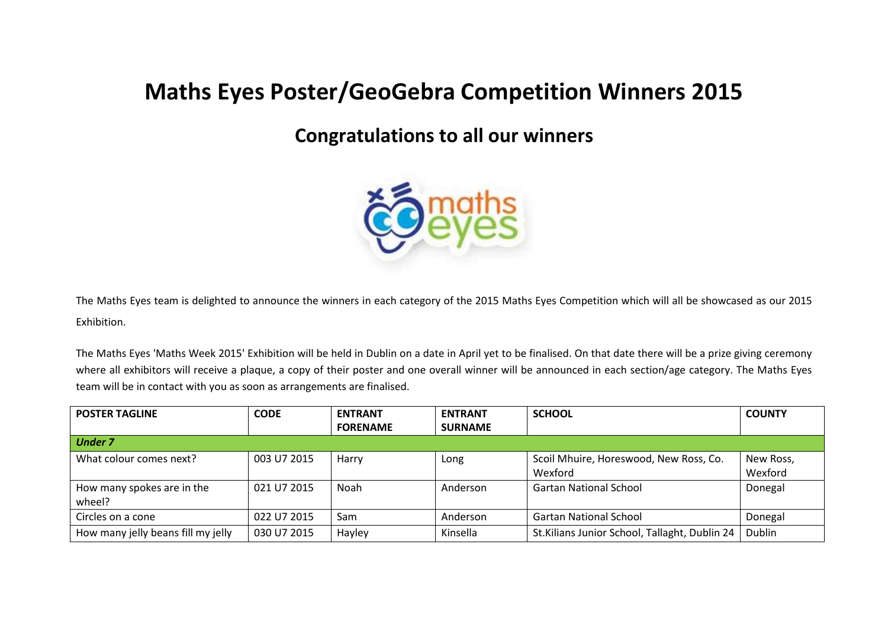## **Maths Eyes Poster/GeoGebra Competition Winners 2015**

## **Congratulations to all our winners**



The Maths Eyes team is delighted to announce the winners in each category of the 2015 Maths Eyes Competition which will all be showcased as our 2015 Exhibition.

The Maths Eyes 'Maths Week 2015' Exhibition will be held in Dublin on a date in April yet to be finalised. On that date there will be a prize giving ceremony where all exhibitors will receive a plaque, a copy of their poster and one overall winner will be announced in each section/age category. The Maths Eyes team will be in contact with you as soon as arrangements are finalised.

| <b>POSTER TAGLINE</b>              | <b>CODE</b> | <b>ENTRANT</b>  | <b>ENTRANT</b> | <b>SCHOOL</b>                                  | <b>COUNTY</b> |  |  |
|------------------------------------|-------------|-----------------|----------------|------------------------------------------------|---------------|--|--|
|                                    |             | <b>FORENAME</b> | <b>SURNAME</b> |                                                |               |  |  |
| <b>Under 7</b>                     |             |                 |                |                                                |               |  |  |
| What colour comes next?            | 003 U7 2015 | Harry           | Long           | Scoil Mhuire, Horeswood, New Ross, Co.         | New Ross,     |  |  |
|                                    |             |                 |                | Wexford                                        | Wexford       |  |  |
| How many spokes are in the         | 021 U7 2015 | <b>Noah</b>     | Anderson       | <b>Gartan National School</b>                  | Donegal       |  |  |
| wheel?                             |             |                 |                |                                                |               |  |  |
| Circles on a cone                  | 022 U7 2015 | Sam             | Anderson       | <b>Gartan National School</b>                  | Donegal       |  |  |
| How many jelly beans fill my jelly | 030 U7 2015 | Hayley          | Kinsella       | St. Kilians Junior School, Tallaght, Dublin 24 | Dublin        |  |  |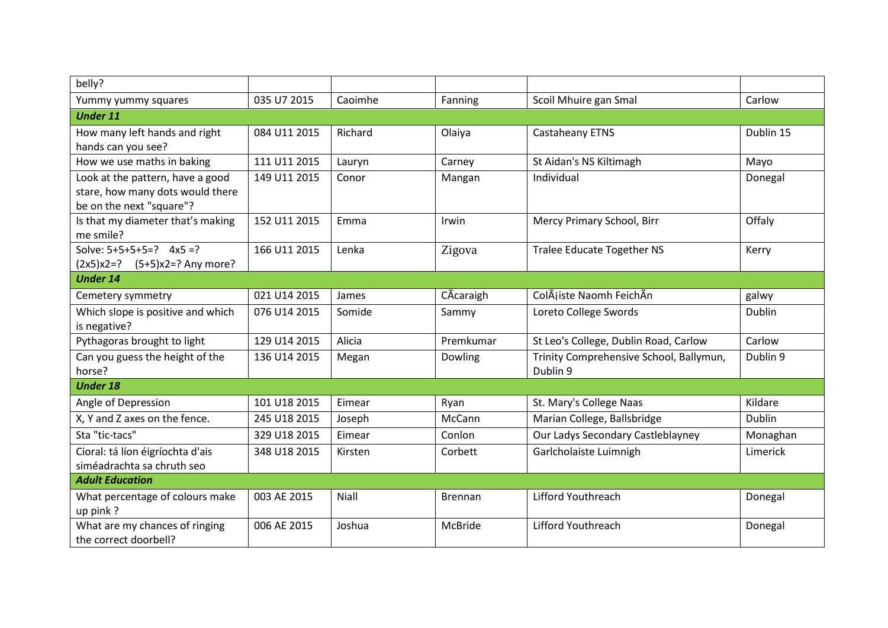| belly?                                               |              |         |                |                                         |           |  |  |  |
|------------------------------------------------------|--------------|---------|----------------|-----------------------------------------|-----------|--|--|--|
| Yummy yummy squares                                  | 035 U7 2015  | Caoimhe | Fanning        | Scoil Mhuire gan Smal                   | Carlow    |  |  |  |
| <b>Under 11</b>                                      |              |         |                |                                         |           |  |  |  |
| How many left hands and right                        | 084 U11 2015 | Richard | Olaiya         | Castaheany ETNS                         | Dublin 15 |  |  |  |
| hands can you see?                                   |              |         |                |                                         |           |  |  |  |
| How we use maths in baking                           | 111 U11 2015 | Lauryn  | Carney         | St Aidan's NS Kiltimagh                 | Mayo      |  |  |  |
| Look at the pattern, have a good                     | 149 U11 2015 | Conor   | Mangan         | Individual                              | Donegal   |  |  |  |
| stare, how many dots would there                     |              |         |                |                                         |           |  |  |  |
| be on the next "square"?                             |              |         |                |                                         |           |  |  |  |
| Is that my diameter that's making                    | 152 U11 2015 | Emma    | Irwin          | Mercy Primary School, Birr              | Offaly    |  |  |  |
| me smile?                                            |              |         |                |                                         |           |  |  |  |
| Solve: $5+5+5+5=?$ 4x5 =?                            | 166 U11 2015 | Lenka   | Zigova         | <b>Tralee Educate Together NS</b>       | Kerry     |  |  |  |
| $(2x5)x2=?$ $(5+5)x2=?$ Any more?<br><b>Under 14</b> |              |         |                |                                         |           |  |  |  |
|                                                      |              |         |                |                                         |           |  |  |  |
| Cemetery symmetry                                    | 021 U14 2015 | James   | CÃcaraigh      | ColÃiiste Naomh FeichÃn                 | galwy     |  |  |  |
| Which slope is positive and which                    | 076 U14 2015 | Somide  | Sammy          | Loreto College Swords                   | Dublin    |  |  |  |
| is negative?                                         |              |         |                |                                         |           |  |  |  |
| Pythagoras brought to light                          | 129 U14 2015 | Alicia  | Premkumar      | St Leo's College, Dublin Road, Carlow   | Carlow    |  |  |  |
| Can you guess the height of the                      | 136 U14 2015 | Megan   | Dowling        | Trinity Comprehensive School, Ballymun, | Dublin 9  |  |  |  |
| horse?                                               |              |         |                | Dublin 9                                |           |  |  |  |
| <b>Under 18</b>                                      |              |         |                |                                         |           |  |  |  |
| Angle of Depression                                  | 101 U18 2015 | Eimear  | Ryan           | St. Mary's College Naas                 | Kildare   |  |  |  |
| X, Y and Z axes on the fence.                        | 245 U18 2015 | Joseph  | McCann         | Marian College, Ballsbridge             | Dublin    |  |  |  |
| Sta "tic-tacs"                                       | 329 U18 2015 | Eimear  | Conlon         | Our Ladys Secondary Castleblayney       | Monaghan  |  |  |  |
| Cioral: tá líon éigríochta d'ais                     | 348 U18 2015 | Kirsten | Corbett        | Garlcholaiste Luimnigh                  | Limerick  |  |  |  |
| siméadrachta sa chruth seo                           |              |         |                |                                         |           |  |  |  |
| <b>Adult Education</b>                               |              |         |                |                                         |           |  |  |  |
| What percentage of colours make                      | 003 AE 2015  | Niall   | <b>Brennan</b> | Lifford Youthreach                      | Donegal   |  |  |  |
| up pink?                                             |              |         |                |                                         |           |  |  |  |
| What are my chances of ringing                       | 006 AE 2015  | Joshua  | McBride        | Lifford Youthreach                      | Donegal   |  |  |  |
| the correct doorbell?                                |              |         |                |                                         |           |  |  |  |